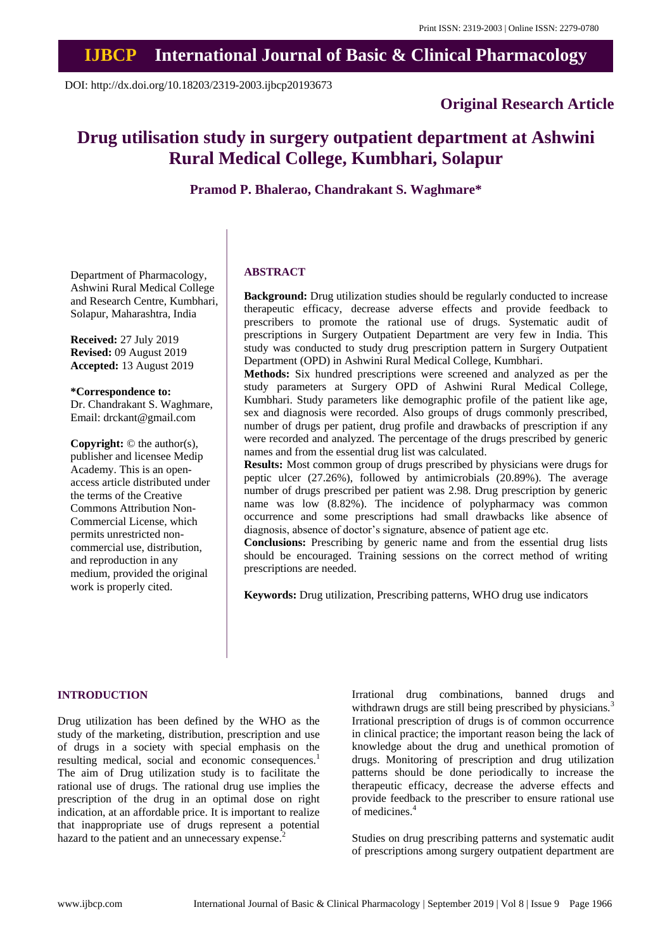## **IJBCP International Journal of Basic & Clinical Pharmacology**

DOI: http://dx.doi.org/10.18203/2319-2003.ijbcp20193673

### **Original Research Article**

# **Drug utilisation study in surgery outpatient department at Ashwini Rural Medical College, Kumbhari, Solapur**

**Pramod P. Bhalerao, Chandrakant S. Waghmare\***

Department of Pharmacology, Ashwini Rural Medical College and Research Centre, Kumbhari, Solapur, Maharashtra, India

**Received:** 27 July 2019 **Revised:** 09 August 2019 **Accepted:** 13 August 2019

**\*Correspondence to:**

Dr. Chandrakant S. Waghmare, Email: drckant@gmail.com

**Copyright:** © the author(s), publisher and licensee Medip Academy. This is an openaccess article distributed under the terms of the Creative Commons Attribution Non-Commercial License, which permits unrestricted noncommercial use, distribution, and reproduction in any medium, provided the original work is properly cited.

#### **ABSTRACT**

**Background:** Drug utilization studies should be regularly conducted to increase therapeutic efficacy, decrease adverse effects and provide feedback to prescribers to promote the rational use of drugs. Systematic audit of prescriptions in Surgery Outpatient Department are very few in India. This study was conducted to study drug prescription pattern in Surgery Outpatient Department (OPD) in Ashwini Rural Medical College, Kumbhari.

**Methods:** Six hundred prescriptions were screened and analyzed as per the study parameters at Surgery OPD of Ashwini Rural Medical College, Kumbhari. Study parameters like demographic profile of the patient like age, sex and diagnosis were recorded. Also groups of drugs commonly prescribed, number of drugs per patient, drug profile and drawbacks of prescription if any were recorded and analyzed. The percentage of the drugs prescribed by generic names and from the essential drug list was calculated.

**Results:** Most common group of drugs prescribed by physicians were drugs for peptic ulcer (27.26%), followed by antimicrobials (20.89%). The average number of drugs prescribed per patient was 2.98. Drug prescription by generic name was low (8.82%). The incidence of polypharmacy was common occurrence and some prescriptions had small drawbacks like absence of diagnosis, absence of doctor's signature, absence of patient age etc.

**Conclusions:** Prescribing by generic name and from the essential drug lists should be encouraged. Training sessions on the correct method of writing prescriptions are needed.

**Keywords:** Drug utilization, Prescribing patterns, WHO drug use indicators

#### **INTRODUCTION**

Drug utilization has been defined by the WHO as the study of the marketing, distribution, prescription and use of drugs in a society with special emphasis on the resulting medical, social and economic consequences.<sup>1</sup> The aim of Drug utilization study is to facilitate the rational use of drugs. The rational drug use implies the prescription of the drug in an optimal dose on right indication, at an affordable price. It is important to realize that inappropriate use of drugs represent a potential hazard to the patient and an unnecessary expense.<sup>2</sup>

Irrational drug combinations, banned drugs and withdrawn drugs are still being prescribed by physicians.<sup>3</sup> Irrational prescription of drugs is of common occurrence in clinical practice; the important reason being the lack of knowledge about the drug and unethical promotion of drugs. Monitoring of prescription and drug utilization patterns should be done periodically to increase the therapeutic efficacy, decrease the adverse effects and provide feedback to the prescriber to ensure rational use of medicines.<sup>4</sup>

Studies on drug prescribing patterns and systematic audit of prescriptions among surgery outpatient department are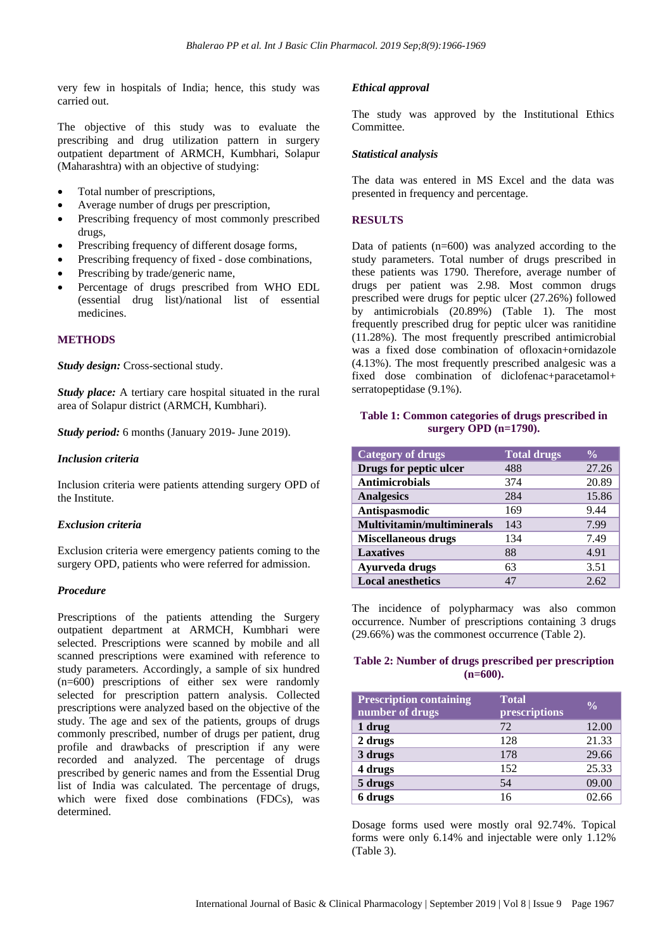very few in hospitals of India; hence, this study was carried out.

The objective of this study was to evaluate the prescribing and drug utilization pattern in surgery outpatient department of ARMCH, Kumbhari, Solapur (Maharashtra) with an objective of studying:

- Total number of prescriptions,
- Average number of drugs per prescription,
- Prescribing frequency of most commonly prescribed drugs,
- Prescribing frequency of different dosage forms,
- Prescribing frequency of fixed dose combinations,
- Prescribing by trade/generic name,
- Percentage of drugs prescribed from WHO EDL (essential drug list)/national list of essential medicines.

#### **METHODS**

*Study design:* Cross-sectional study.

*Study place:* A tertiary care hospital situated in the rural area of Solapur district (ARMCH, Kumbhari).

*Study period:* 6 months (January 2019- June 2019).

#### *Inclusion criteria*

Inclusion criteria were patients attending surgery OPD of the Institute.

#### *Exclusion criteria*

Exclusion criteria were emergency patients coming to the surgery OPD, patients who were referred for admission.

#### *Procedure*

Prescriptions of the patients attending the Surgery outpatient department at ARMCH, Kumbhari were selected. Prescriptions were scanned by mobile and all scanned prescriptions were examined with reference to study parameters. Accordingly, a sample of six hundred (n=600) prescriptions of either sex were randomly selected for prescription pattern analysis. Collected prescriptions were analyzed based on the objective of the study. The age and sex of the patients, groups of drugs commonly prescribed, number of drugs per patient, drug profile and drawbacks of prescription if any were recorded and analyzed. The percentage of drugs prescribed by generic names and from the Essential Drug list of India was calculated. The percentage of drugs, which were fixed dose combinations (FDCs), was determined.

#### *Ethical approval*

The study was approved by the Institutional Ethics Committee.

#### *Statistical analysis*

The data was entered in MS Excel and the data was presented in frequency and percentage.

#### **RESULTS**

Data of patients (n=600) was analyzed according to the study parameters. Total number of drugs prescribed in these patients was 1790. Therefore, average number of drugs per patient was 2.98. Most common drugs prescribed were drugs for peptic ulcer (27.26%) followed by antimicrobials (20.89%) (Table 1). The most frequently prescribed drug for peptic ulcer was ranitidine (11.28%). The most frequently prescribed antimicrobial was a fixed dose combination of ofloxacin+ornidazole (4.13%). The most frequently prescribed analgesic was a fixed dose combination of diclofenac+paracetamol+ serratopeptidase (9.1%).

#### **Table 1: Common categories of drugs prescribed in surgery OPD (n=1790).**

| <b>Category of drugs</b>          | <b>Total drugs</b> | $\frac{0}{0}$ |
|-----------------------------------|--------------------|---------------|
| Drugs for peptic ulcer            | 488                | 27.26         |
| <b>Antimicrobials</b>             | 374                | 20.89         |
| <b>Analgesics</b>                 | 284                | 15.86         |
| Antispasmodic                     | 169                | 9.44          |
| <b>Multivitamin/multiminerals</b> | 143                | 7.99          |
| <b>Miscellaneous drugs</b>        | 134                | 7.49          |
| <b>Laxatives</b>                  | 88                 | 4.91          |
| Ayurveda drugs                    | 63                 | 3.51          |
| <b>Local anesthetics</b>          | 47                 | 2.62          |

The incidence of polypharmacy was also common occurrence. Number of prescriptions containing 3 drugs (29.66%) was the commonest occurrence (Table 2).

#### **Table 2: Number of drugs prescribed per prescription (n=600).**

| <b>Prescription containing</b><br>number of drugs | <b>Total</b><br>prescriptions | $\frac{0}{0}$ |
|---------------------------------------------------|-------------------------------|---------------|
| 1 drug                                            | 72                            | 12.00         |
| 2 drugs                                           | 128                           | 21.33         |
| 3 drugs                                           | 178                           | 29.66         |
| 4 drugs                                           | 152                           | 25.33         |
| 5 drugs                                           | 54                            | 09.00         |
| 6 drugs                                           | 16                            | 02.66         |

Dosage forms used were mostly oral 92.74%. Topical forms were only 6.14% and injectable were only 1.12% (Table 3).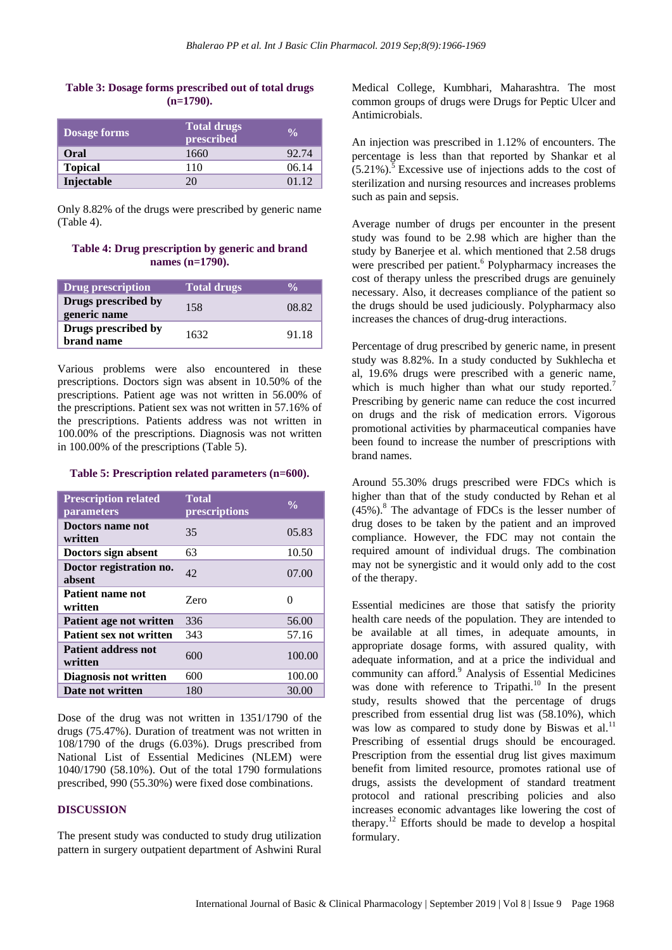#### **Table 3: Dosage forms prescribed out of total drugs (n=1790).**

| <b>Dosage forms</b> | <b>Total drugs</b><br>prescribed | $\frac{0}{\alpha}$ |
|---------------------|----------------------------------|--------------------|
| Oral                | 1660                             | 92.74              |
| <b>Topical</b>      | 110                              | 06.14              |
| Injectable          | 20                               | 01 12              |

Only 8.82% of the drugs were prescribed by generic name (Table 4).

**Table 4: Drug prescription by generic and brand names (n=1790).**

| Drug prescription                   | <b>Total drugs</b> |       |
|-------------------------------------|--------------------|-------|
| Drugs prescribed by<br>generic name | 158                | 08.82 |
| Drugs prescribed by<br>brand name   | 1632               | 91.18 |

Various problems were also encountered in these prescriptions. Doctors sign was absent in 10.50% of the prescriptions. Patient age was not written in 56.00% of the prescriptions. Patient sex was not written in 57.16% of the prescriptions. Patients address was not written in 100.00% of the prescriptions. Diagnosis was not written in 100.00% of the prescriptions (Table 5).

#### **Table 5: Prescription related parameters (n=600).**

| <b>Prescription related</b><br>parameters | <b>Total</b><br>prescriptions | $\frac{0}{0}$ |
|-------------------------------------------|-------------------------------|---------------|
| Doctors name not<br>written               | 35                            | 05.83         |
| Doctors sign absent                       | 63                            | 10.50         |
| Doctor registration no.<br>absent         | 42                            | 07.00         |
| Patient name not<br>written               | Zero                          | 0             |
| Patient age not written                   | 336                           | 56.00         |
| <b>Patient sex not written</b>            | 343                           | 57.16         |
| <b>Patient address not</b><br>written     | 600                           | 100.00        |
| <b>Diagnosis not written</b>              | 600                           | 100.00        |
| Date not written                          | 180                           | 30.00         |

Dose of the drug was not written in 1351/1790 of the drugs (75.47%). Duration of treatment was not written in 108/1790 of the drugs (6.03%). Drugs prescribed from National List of Essential Medicines (NLEM) were 1040/1790 (58.10%). Out of the total 1790 formulations prescribed, 990 (55.30%) were fixed dose combinations.

#### **DISCUSSION**

The present study was conducted to study drug utilization pattern in surgery outpatient department of Ashwini Rural Medical College, Kumbhari, Maharashtra. The most common groups of drugs were Drugs for Peptic Ulcer and Antimicrobials.

An injection was prescribed in 1.12% of encounters. The percentage is less than that reported by Shankar et al  $(5.21\%)$ .<sup>5</sup> Excessive use of injections adds to the cost of sterilization and nursing resources and increases problems such as pain and sepsis.

Average number of drugs per encounter in the present study was found to be 2.98 which are higher than the study by Banerjee et al. which mentioned that 2.58 drugs were prescribed per patient.<sup>6</sup> Polypharmacy increases the cost of therapy unless the prescribed drugs are genuinely necessary. Also, it decreases compliance of the patient so the drugs should be used judiciously. Polypharmacy also increases the chances of drug-drug interactions.

Percentage of drug prescribed by generic name, in present study was 8.82%. In a study conducted by Sukhlecha et al, 19.6% drugs were prescribed with a generic name, which is much higher than what our study reported.<sup>7</sup> Prescribing by generic name can reduce the cost incurred on drugs and the risk of medication errors. Vigorous promotional activities by pharmaceutical companies have been found to increase the number of prescriptions with brand names.

Around 55.30% drugs prescribed were FDCs which is higher than that of the study conducted by Rehan et al  $(45\%)$ .<sup>8</sup> The advantage of FDCs is the lesser number of drug doses to be taken by the patient and an improved compliance. However, the FDC may not contain the required amount of individual drugs. The combination may not be synergistic and it would only add to the cost of the therapy.

Essential medicines are those that satisfy the priority health care needs of the population. They are intended to be available at all times, in adequate amounts, in appropriate dosage forms, with assured quality, with adequate information, and at a price the individual and community can afford.<sup>9</sup> Analysis of Essential Medicines was done with reference to  $Tripathi<sup>10</sup>$  In the present study, results showed that the percentage of drugs prescribed from essential drug list was (58.10%), which was low as compared to study done by Biswas et al.<sup>11</sup> Prescribing of essential drugs should be encouraged. Prescription from the essential drug list gives maximum benefit from limited resource, promotes rational use of drugs, assists the development of standard treatment protocol and rational prescribing policies and also increases economic advantages like lowering the cost of therapy.<sup>12</sup> Efforts should be made to develop a hospital formulary.